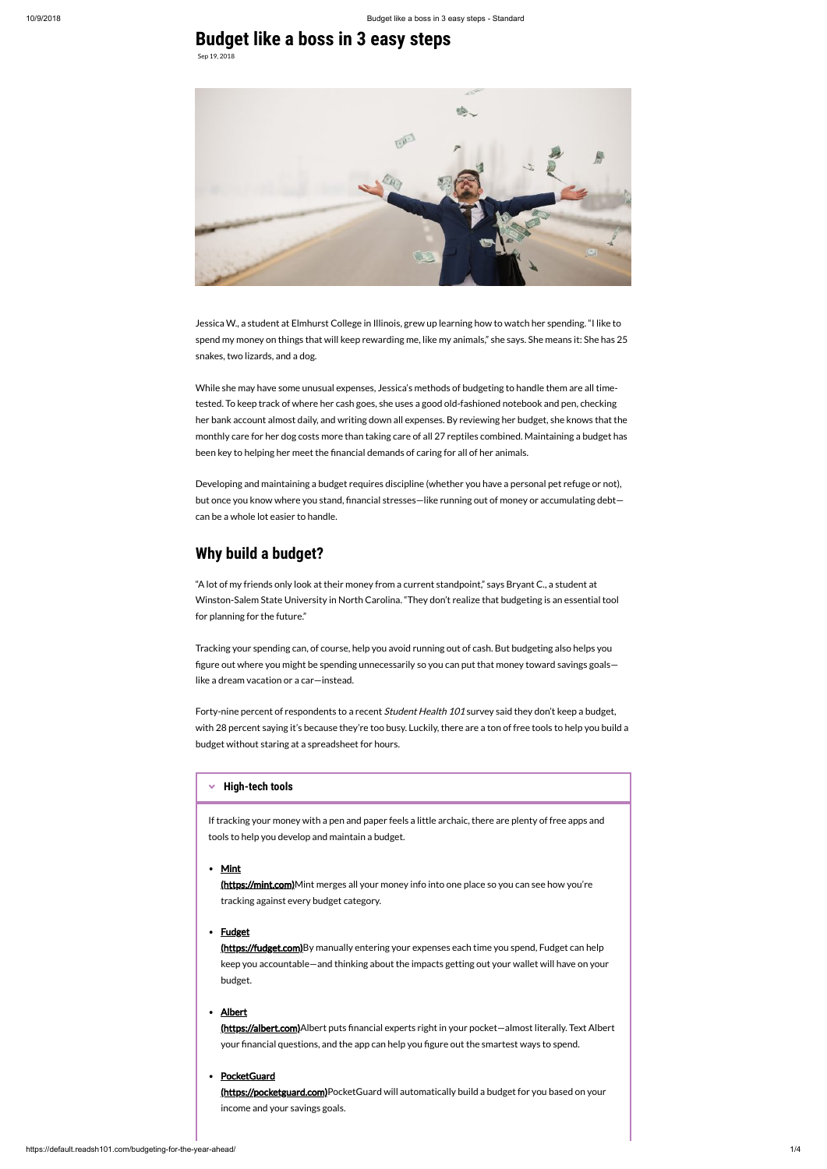# **Budget like a boss in 3 easy steps**

Sep 19, 2018



While she may have some unusual expenses, Jessica's methods of budgeting to handle them are all timetested. To keep track of where her cash goes, she uses a good old-fashioned notebook and pen, checking her bank account almost daily, and writing down all expenses. By reviewing her budget, she knows that the monthly care for her dog costs more than taking care of all 27 reptiles combined. Maintaining a budget has been key to helping her meet the financial demands of caring for all of her animals.

Jessica W., a student at Elmhurst College in Illinois, grew up learning how to watch her spending. "I like to spend my money on things that will keep rewarding me, like my animals," she says. She means it: She has 25 snakes, two lizards, and a dog.

Forty-nine percent of respondents to a recent *Student Health 101* survey said they don't keep a budget, with 28 percent saying it's because they're too busy. Luckily, there are a ton of free tools to help you build a budget without staring at a spreadsheet for hours.

Developing and maintaining a budget requires discipline (whether you have a personal pet refuge or not), but once you know where you stand, financial stresses—like running out of money or accumulating debt can be a whole lot easier to handle.

# **Why build a budget?**

[\(https://fudget.com\)B](https://fudget.com/)y manually entering your expenses each time you spend, Fudget can help keep you accountable—and thinking about the impacts getting out your wallet will have on your budget.

"A lot of my friends only look at their money from a current standpoint," says Bryant C., a student at Winston-Salem State University in North Carolina. "They don't realize that budgeting is an essential tool for planning for the future."

[\(https://pocketguard.com\)](https://pocketguard.com/)PocketGuard will automatically build a budget for you based on your income and your savings goals.

Tracking your spending can, of course, help you avoid running out of cash. But budgeting also helps you figure out where you might be spending unnecessarily so you can put that money toward savings goalslike a dream vacation or a car—instead.

#### <span id="page-0-0"></span>**[High-tech tools](#page-0-0)**

If tracking your money with a pen and paper feels a little archaic, there are plenty of free apps and tools to help you develop and maintain a budget.

#### • Mint

[\(https://mint.com\)M](https://mint.com/)int merges all your money info into one place so you can see how you're tracking against every budget category.

### • Fudget

### Albert

[\(https://albert.com\)](https://albert.com/)Albert puts financial experts right in your pocket-almost literally. Text Albert your financial questions, and the app can help you figure out the smartest ways to spend.

### **PocketGuard**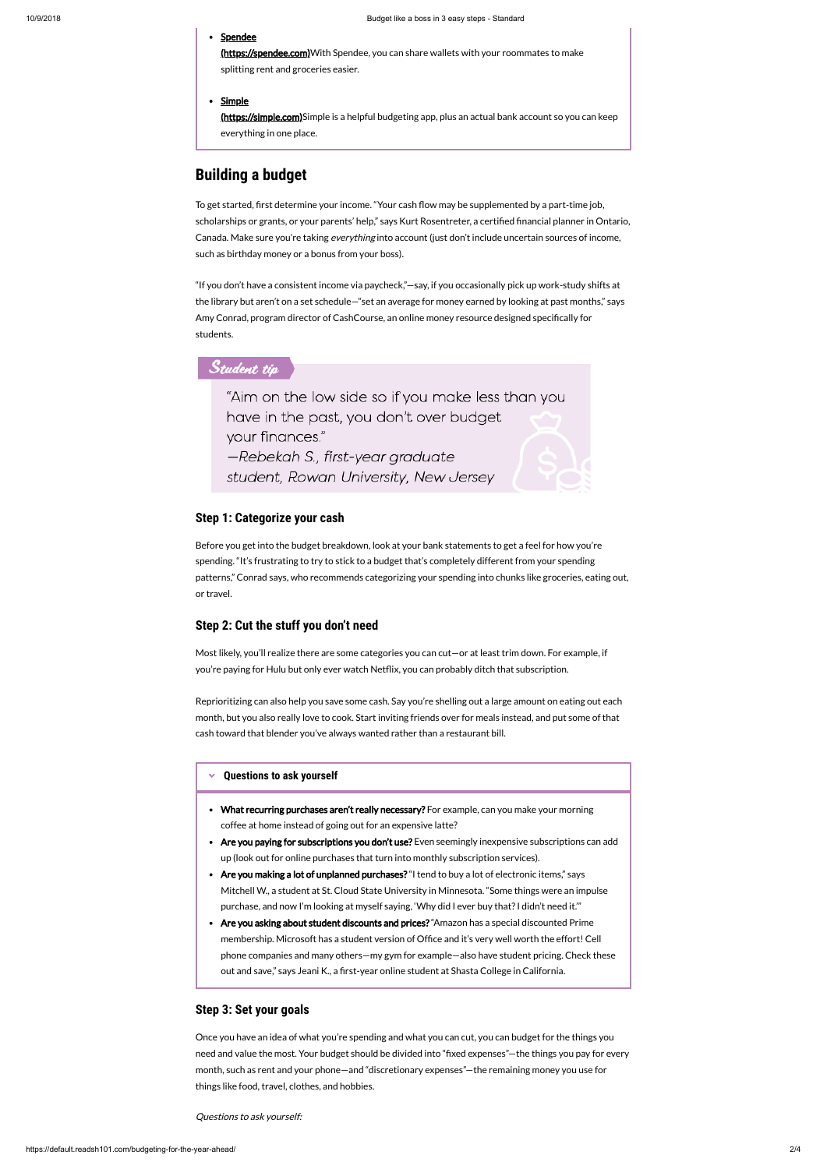- **Spendee** [\(https://spendee.com\)](https://spendee.com/) With Spendee, you can share wallets with your roommates to make splitting rent and groceries easier.
- **Simple**

## **Building a budget**

To get started, first determine your income. "Your cash flow may be supplemented by a part-time job, scholarships or grants, or your parents' help," says Kurt Rosentreter, a certified financial planner in Ontario, Canada. Make sure you're taking *everything* into account (just don't include uncertain sources of income, such as birthday money or a bonus from your boss).

Most likely, you'll realize there are some categories you can cut—or at least trim down. For example, if you're paying for Hulu but only ever watch Netflix, you can probably ditch that subscription.

"If you don't have a consistent income via paycheck,"—say, if you occasionally pick up work-study shifts at the library but aren't on a set schedule—"set an average for money earned by looking at past months," says Amy Conrad, program director of CashCourse, an online money resource designed specifically for students.

### Student tip

"Aim on the low side so if you make less than you have in the past, you don't over budget your finances." -Rebekah S., first-year graduate

student, Rowan University, New Jersey

### **Step 1: Categorize your cash**

Before you get into the budget breakdown, look at your bank statements to get a feel for how you're spending. "It's frustrating to try to stick to a budget that's completely different from your spending patterns," Conrad says, who recommends categorizing your spending into chunks like groceries, eating out, or travel.

### **Step 2: Cut the stuff you don't need**

#### <span id="page-1-0"></span>× **[Questions to ask yourself](#page-1-0)**

- What recurring purchases aren't really necessary? For example, can you make your morning coffee at home instead of going out for an expensive latte?
- Are you paying for subscriptions you don't use? Even seemingly inexpensive subscriptions can add up (look out for online purchases that turn into monthly subscription services).
- Are you making a lot of unplanned purchases? "I tend to buy a lot of electronic items," says

Mitchell W., a student at St. Cloud State University in Minnesota. "Some things were an impulse purchase, and now I'm looking at myself saying, 'Why did I ever buy that? I didn't need it."

Are you asking about student discounts and prices? "Amazon has a special discounted Prime membership. Microsoft has a student version of Office and it's very well worth the effort! Cell phone companies and many others—my gym for example—also have student pricing. Check these out and save," says Jeani K., a first-year online student at Shasta College in California.

Reprioritizing can also help you save some cash. Say you're shelling out a large amount on eating out each month, but you also really love to cook. Start inviting friends over for meals instead, and put some of that cash toward that blender you've always wanted rather than a restaurant bill.

### **Step 3: Set your goals**

Once you have an idea of what you're spending and what you can cut, you can budget for the things you need and value the most. Your budget should be divided into "fixed expenses"—the things you pay for every month, such as rent and your phone—and "discretionary expenses"—the remaining money you use for things like food, travel, clothes, and hobbies.

Questions to ask yourself:

[\(https://simple.com\)](https://simple.com/)Simple is a helpful budgeting app, plus an actual bank account so you can keep everything in one place.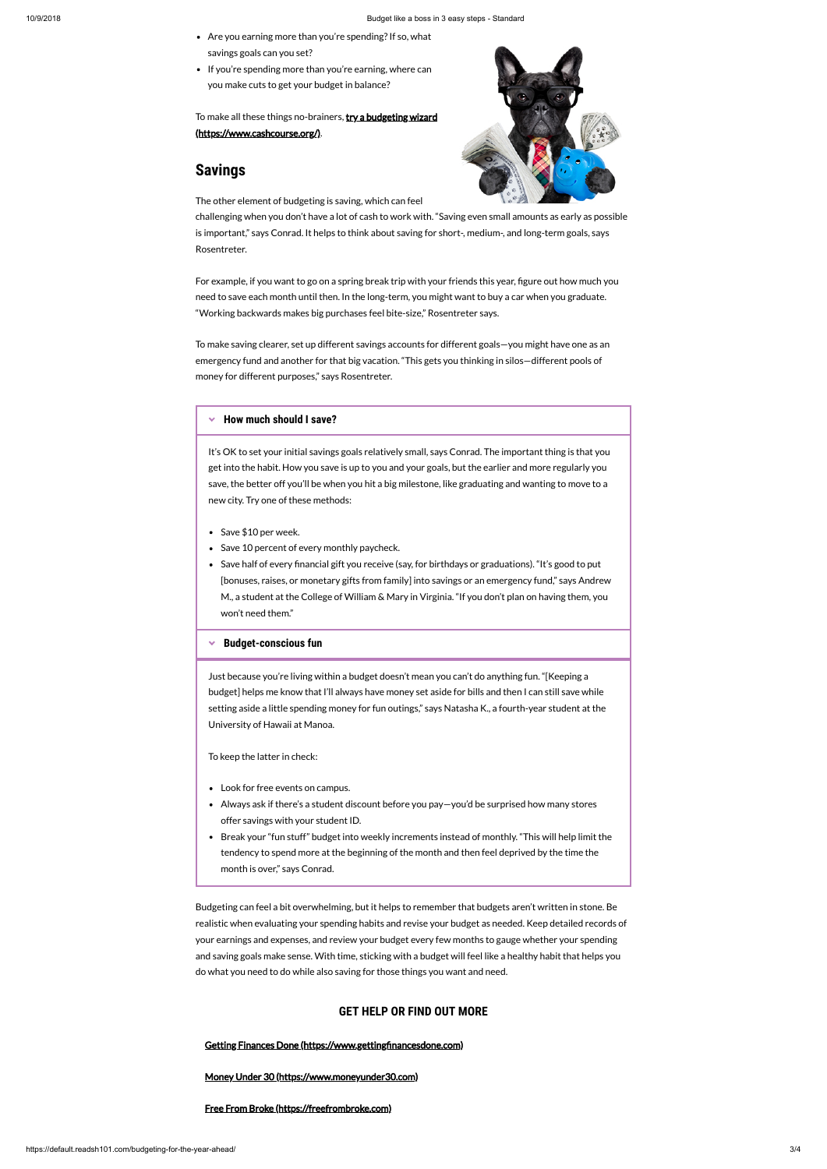Budgeting can feel a bit overwhelming, but it helps to remember that budgets aren't written in stone. Be realistic when evaluating your spending habits and revise your budget as needed. Keep detailed records of your earnings and expenses, and review your budget every few months to gauge whether your spending and saving goals make sense. With time, sticking with a budget will feel like a healthy habit that helps you do what you need to do while also saving for those things you want and need.

To make all these things no-brainers, **try a budgeting wizard** (https://www.cashcourse.org/).

#### [Money Under 30 \(https://www.moneyunder30.com\)](https://www.moneyunder30.com/)

[Free From Broke \(https://freefrombroke.com\)](https://freefrombroke.com/)

For example, if you want to go on a spring break trip with your friends this year, figure out how much you need to save each month until then. In the long-term, you might want to buy a car when you graduate. "Working backwards makes big purchases feel bite-size," Rosentreter says.

- Are you earning more than you're spending? If so, what savings goals can you set?
- If you're spending more than you're earning, where can you make cuts to get your budget in balance?

## **Savings**

The other element of budgeting is saving, which can feel



challenging when you don't have a lot of cash to work with. "Saving even small amounts as early as possible is important," says Conrad. It helps to think about saving for short-, medium-, and long-term goals, says Rosentreter.

- Save \$10 per week.
- Save 10 percent of every monthly paycheck.
- Save half of every financial gift you receive (say, for birthdays or graduations). "It's good to put [bonuses, raises, or monetary gifts from family] into savings or an emergency fund," says Andrew M., a student at the College of William & Mary in Virginia. "If you don't plan on having them, you won't need them."

#### <span id="page-2-1"></span>× **[Budget-conscious fun](#page-2-1)**

To make saving clearer, set up different savings accounts for different goals—you might have one as an emergency fund and another for that big vacation. "This gets you thinking in silos—different pools of money for different purposes," says Rosentreter.

#### <span id="page-2-0"></span>**[How much should I save?](#page-2-0)**

It's OK to set your initial savings goals relatively small, says Conrad. The important thing is that you get into the habit. How you save is up to you and your goals, but the earlier and more regularly you save, the better off you'll be when you hit a big milestone, like graduating and wanting to move to a new city. Try one of these methods:

Just because you're living within a budget doesn't mean you can't do anything fun. "[Keeping a budget] helps me know that I'll always have money set aside for bills and then I can still save while setting aside a little spending money for fun outings," says Natasha K., a fourth-year student at the University of Hawaii at Manoa.

#### To keep the latter in check:

- Look for free events on campus.
- Always ask if there's a student discount before you pay—you'd be surprised how many stores offer savings with your student ID.
- Break your "fun stuff" budget into weekly increments instead of monthly. "This will help limit the tendency to spend more at the beginning of the month and then feel deprived by the time the month is over," says Conrad.

### **GET HELP OR FIND OUT MORE**

#### Getting Finances Done (https://www.gettingfinancesdone.com)